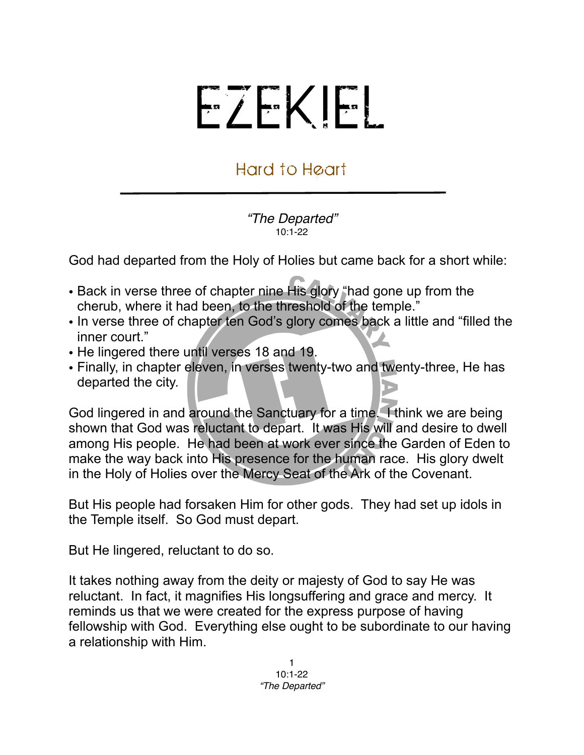## EZEKIEL

## Hard to Heart

*"The Departed"* 10:1-22

God had departed from the Holy of Holies but came back for a short while:

- Back in verse three of chapter nine His glory "had gone up from the cherub, where it had been, to the threshold of the temple."
- In verse three of chapter ten God's glory comes back a little and "filled the inner court."
- He lingered there until verses 18 and 19.
- Finally, in chapter eleven, in verses twenty-two and twenty-three, He has departed the city.

God lingered in and around the Sanctuary for a time. I think we are being shown that God was reluctant to depart. It was His will and desire to dwell among His people. He had been at work ever since the Garden of Eden to make the way back into His presence for the human race. His glory dwelt in the Holy of Holies over the Mercy Seat of the Ark of the Covenant.

But His people had forsaken Him for other gods. They had set up idols in the Temple itself. So God must depart.

But He lingered, reluctant to do so.

It takes nothing away from the deity or majesty of God to say He was reluctant. In fact, it magnifies His longsuffering and grace and mercy. It reminds us that we were created for the express purpose of having fellowship with God. Everything else ought to be subordinate to our having a relationship with Him.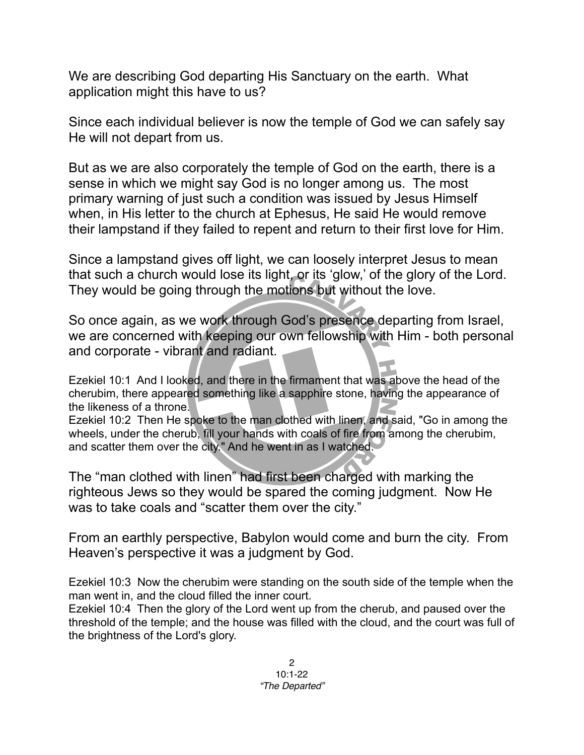We are describing God departing His Sanctuary on the earth. What application might this have to us?

Since each individual believer is now the temple of God we can safely say He will not depart from us.

But as we are also corporately the temple of God on the earth, there is a sense in which we might say God is no longer among us. The most primary warning of just such a condition was issued by Jesus Himself when, in His letter to the church at Ephesus, He said He would remove their lampstand if they failed to repent and return to their first love for Him.

Since a lampstand gives off light, we can loosely interpret Jesus to mean that such a church would lose its light, or its 'glow,' of the glory of the Lord. They would be going through the motions but without the love.

So once again, as we work through God's presence departing from Israel, we are concerned with keeping our own fellowship with Him - both personal and corporate - vibrant and radiant.

Ezekiel 10:1 And I looked, and there in the firmament that was above the head of the cherubim, there appeared something like a sapphire stone, having the appearance of the likeness of a throne.

Ezekiel 10:2 Then He spoke to the man clothed with linen, and said, "Go in among the wheels, under the cherub, fill your hands with coals of fire from among the cherubim, and scatter them over the city." And he went in as I watched.

The "man clothed with linen" had first been charged with marking the righteous Jews so they would be spared the coming judgment. Now He was to take coals and "scatter them over the city."

From an earthly perspective, Babylon would come and burn the city. From Heaven's perspective it was a judgment by God.

Ezekiel 10:3 Now the cherubim were standing on the south side of the temple when the man went in, and the cloud filled the inner court.

Ezekiel 10:4 Then the glory of the Lord went up from the cherub, and paused over the threshold of the temple; and the house was filled with the cloud, and the court was full of the brightness of the Lord's glory.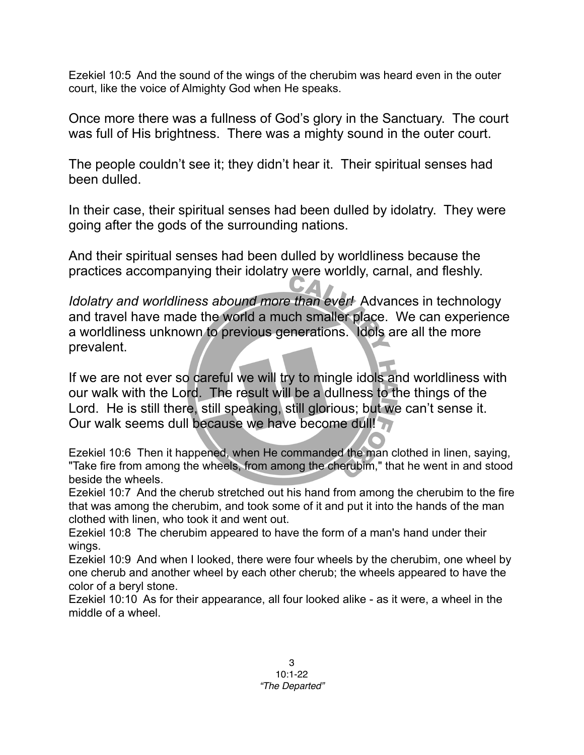Ezekiel 10:5 And the sound of the wings of the cherubim was heard even in the outer court, like the voice of Almighty God when He speaks.

Once more there was a fullness of God's glory in the Sanctuary. The court was full of His brightness. There was a mighty sound in the outer court.

The people couldn't see it; they didn't hear it. Their spiritual senses had been dulled.

In their case, their spiritual senses had been dulled by idolatry. They were going after the gods of the surrounding nations.

And their spiritual senses had been dulled by worldliness because the practices accompanying their idolatry were worldly, carnal, and fleshly.

*Idolatry and worldliness abound more than ever!* Advances in technology and travel have made the world a much smaller place. We can experience a worldliness unknown to previous generations. Idols are all the more prevalent.

If we are not ever so careful we will try to mingle idols and worldliness with our walk with the Lord. The result will be a dullness to the things of the Lord. He is still there, still speaking, still glorious; but we can't sense it. Our walk seems dull because we have become dull!

Ezekiel 10:6 Then it happened, when He commanded the man clothed in linen, saying, "Take fire from among the wheels, from among the cherubim," that he went in and stood beside the wheels.

Ezekiel 10:7 And the cherub stretched out his hand from among the cherubim to the fire that was among the cherubim, and took some of it and put it into the hands of the man clothed with linen, who took it and went out.

Ezekiel 10:8 The cherubim appeared to have the form of a man's hand under their wings.

Ezekiel 10:9 And when I looked, there were four wheels by the cherubim, one wheel by one cherub and another wheel by each other cherub; the wheels appeared to have the color of a beryl stone.

Ezekiel 10:10 As for their appearance, all four looked alike - as it were, a wheel in the middle of a wheel.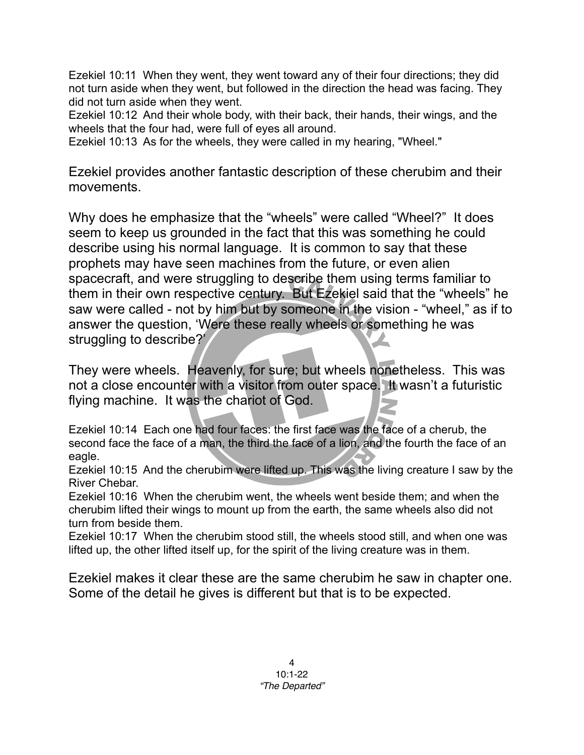Ezekiel 10:11 When they went, they went toward any of their four directions; they did not turn aside when they went, but followed in the direction the head was facing. They did not turn aside when they went.

Ezekiel 10:12 And their whole body, with their back, their hands, their wings, and the wheels that the four had, were full of eyes all around.

Ezekiel 10:13 As for the wheels, they were called in my hearing, "Wheel."

Ezekiel provides another fantastic description of these cherubim and their movements.

Why does he emphasize that the "wheels" were called "Wheel?" It does seem to keep us grounded in the fact that this was something he could describe using his normal language. It is common to say that these prophets may have seen machines from the future, or even alien spacecraft, and were struggling to describe them using terms familiar to them in their own respective century. But Ezekiel said that the "wheels" he saw were called - not by him but by someone in the vision - "wheel," as if to answer the question, 'Were these really wheels or something he was struggling to describe?'

They were wheels. Heavenly, for sure; but wheels nonetheless. This was not a close encounter with a visitor from outer space. It wasn't a futuristic flying machine. It was the chariot of God.

Ezekiel 10:14 Each one had four faces: the first face was the face of a cherub, the second face the face of a man, the third the face of a lion, and the fourth the face of an eagle.

Ezekiel 10:15 And the cherubim were lifted up. This was the living creature I saw by the River Chebar.

Ezekiel 10:16 When the cherubim went, the wheels went beside them; and when the cherubim lifted their wings to mount up from the earth, the same wheels also did not turn from beside them.

Ezekiel 10:17 When the cherubim stood still, the wheels stood still, and when one was lifted up, the other lifted itself up, for the spirit of the living creature was in them.

Ezekiel makes it clear these are the same cherubim he saw in chapter one. Some of the detail he gives is different but that is to be expected.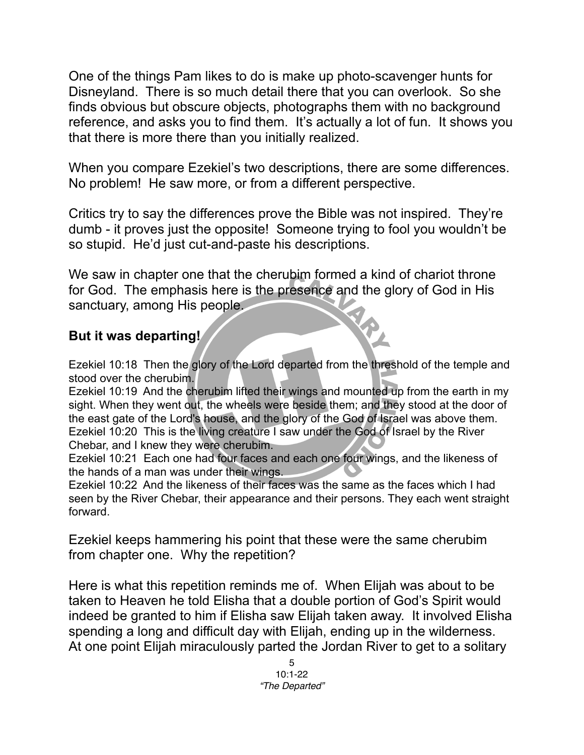One of the things Pam likes to do is make up photo-scavenger hunts for Disneyland. There is so much detail there that you can overlook. So she finds obvious but obscure objects, photographs them with no background reference, and asks you to find them. It's actually a lot of fun. It shows you that there is more there than you initially realized.

When you compare Ezekiel's two descriptions, there are some differences. No problem! He saw more, or from a different perspective.

Critics try to say the differences prove the Bible was not inspired. They're dumb - it proves just the opposite! Someone trying to fool you wouldn't be so stupid. He'd just cut-and-paste his descriptions.

We saw in chapter one that the cherubim formed a kind of chariot throne for God. The emphasis here is the presence and the glory of God in His sanctuary, among His people.

## **But it was departing!**

Ezekiel 10:18 Then the glory of the Lord departed from the threshold of the temple and stood over the cherubim.

Ezekiel 10:19 And the cherubim lifted their wings and mounted up from the earth in my sight. When they went out, the wheels were beside them; and they stood at the door of the east gate of the Lord's house, and the glory of the God of Israel was above them. Ezekiel 10:20 This is the living creature I saw under the God of Israel by the River Chebar, and I knew they were cherubim.

Ezekiel 10:21 Each one had four faces and each one four wings, and the likeness of the hands of a man was under their wings.

Ezekiel 10:22 And the likeness of their faces was the same as the faces which I had seen by the River Chebar, their appearance and their persons. They each went straight forward.

Ezekiel keeps hammering his point that these were the same cherubim from chapter one. Why the repetition?

Here is what this repetition reminds me of. When Elijah was about to be taken to Heaven he told Elisha that a double portion of God's Spirit would indeed be granted to him if Elisha saw Elijah taken away. It involved Elisha spending a long and difficult day with Elijah, ending up in the wilderness. At one point Elijah miraculously parted the Jordan River to get to a solitary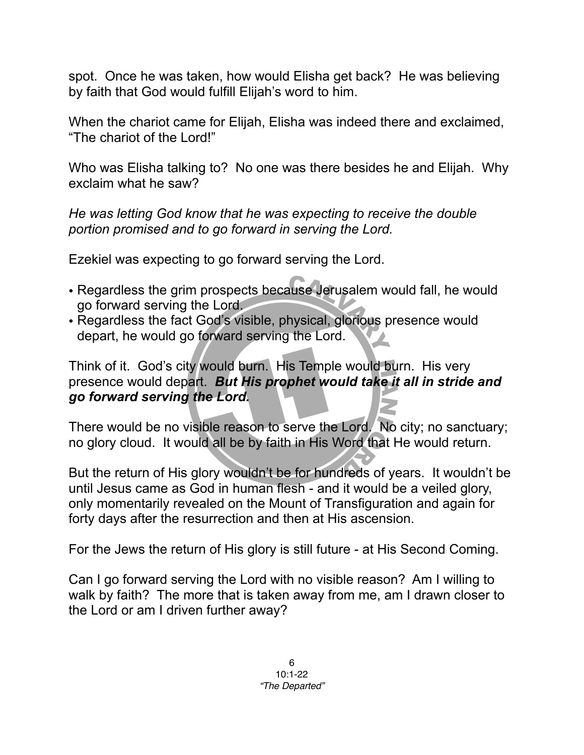spot. Once he was taken, how would Elisha get back? He was believing by faith that God would fulfill Elijah's word to him.

When the chariot came for Elijah, Elisha was indeed there and exclaimed, "The chariot of the Lord!"

Who was Elisha talking to? No one was there besides he and Elijah. Why exclaim what he saw?

*He was letting God know that he was expecting to receive the double portion promised and to go forward in serving the Lord.*

Ezekiel was expecting to go forward serving the Lord.

- Regardless the grim prospects because Jerusalem would fall, he would go forward serving the Lord.
- Regardless the fact God's visible, physical, glorious presence would depart, he would go forward serving the Lord.

Think of it. God's city would burn. His Temple would burn. His very presence would depart. *But His prophet would take it all in stride and go forward serving the Lord.*

There would be no visible reason to serve the Lord. No city; no sanctuary; no glory cloud. It would all be by faith in His Word that He would return.

But the return of His glory wouldn't be for hundreds of years. It wouldn't be until Jesus came as God in human flesh - and it would be a veiled glory, only momentarily revealed on the Mount of Transfiguration and again for forty days after the resurrection and then at His ascension.

For the Jews the return of His glory is still future - at His Second Coming.

Can I go forward serving the Lord with no visible reason? Am I willing to walk by faith? The more that is taken away from me, am I drawn closer to the Lord or am I driven further away?